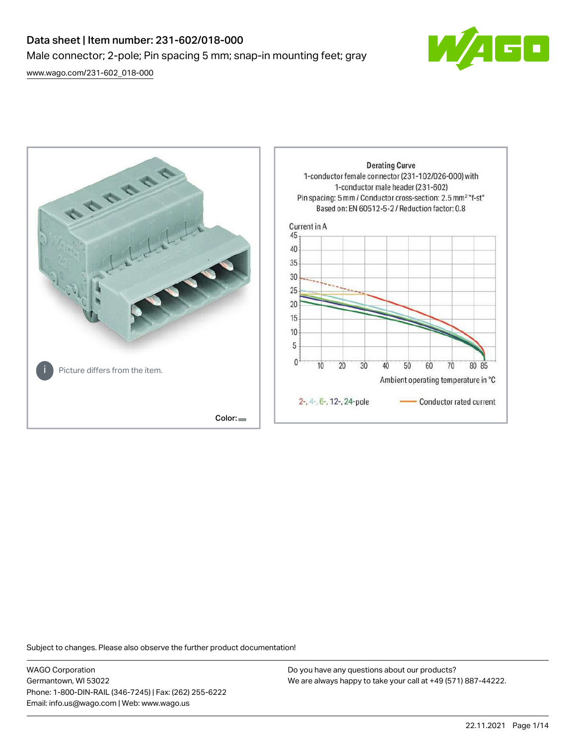# Data sheet | Item number: 231-602/018-000 Male connector; 2-pole; Pin spacing 5 mm; snap-in mounting feet; gray

[www.wago.com/231-602\\_018-000](http://www.wago.com/231-602_018-000)





Subject to changes. Please also observe the further product documentation!

WAGO Corporation Germantown, WI 53022 Phone: 1-800-DIN-RAIL (346-7245) | Fax: (262) 255-6222 Email: info.us@wago.com | Web: www.wago.us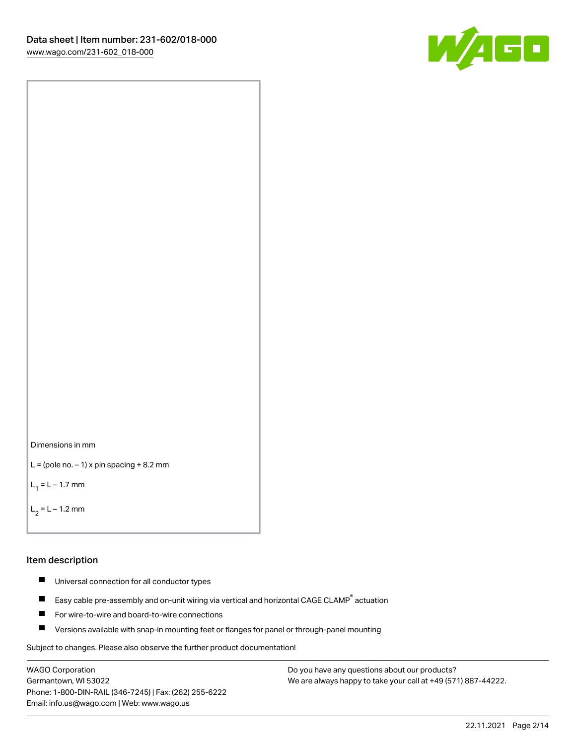



```
L = (pole no. -1) x pin spacing +8.2 mm
```
 $L_1 = L - 1.7$  mm

```
L_2 = L - 1.2 mm
```
### Item description

- $\blacksquare$ Universal connection for all conductor types
- Easy cable pre-assembly and on-unit wiring via vertical and horizontal CAGE CLAMP<sup>®</sup> actuation  $\blacksquare$
- $\blacksquare$ For wire-to-wire and board-to-wire connections
- $\blacksquare$ Versions available with snap-in mounting feet or flanges for panel or through-panel mounting

Subject to changes. Please also observe the further product documentation!

WAGO Corporation Germantown, WI 53022 Phone: 1-800-DIN-RAIL (346-7245) | Fax: (262) 255-6222 Email: info.us@wago.com | Web: www.wago.us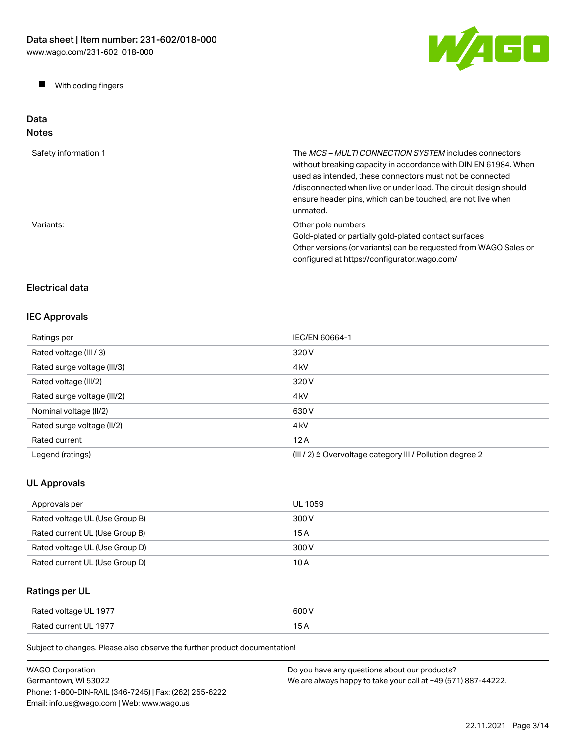W/AGO

 $\blacksquare$ With coding fingers

### Data Notes

| Safety information 1 | The <i>MCS – MULTI CONNECTION SYSTEM</i> includes connectors<br>without breaking capacity in accordance with DIN EN 61984. When<br>used as intended, these connectors must not be connected<br>/disconnected when live or under load. The circuit design should<br>ensure header pins, which can be touched, are not live when<br>unmated. |
|----------------------|--------------------------------------------------------------------------------------------------------------------------------------------------------------------------------------------------------------------------------------------------------------------------------------------------------------------------------------------|
| Variants:            | Other pole numbers<br>Gold-plated or partially gold-plated contact surfaces<br>Other versions (or variants) can be requested from WAGO Sales or<br>configured at https://configurator.wago.com/                                                                                                                                            |

# Electrical data

# IEC Approvals

| Ratings per                 | IEC/EN 60664-1                                                       |
|-----------------------------|----------------------------------------------------------------------|
| Rated voltage (III / 3)     | 320 V                                                                |
| Rated surge voltage (III/3) | 4 <sub>k</sub> V                                                     |
| Rated voltage (III/2)       | 320 V                                                                |
| Rated surge voltage (III/2) | 4 <sub>k</sub> V                                                     |
| Nominal voltage (II/2)      | 630 V                                                                |
| Rated surge voltage (II/2)  | 4 <sub>k</sub> V                                                     |
| Rated current               | 12A                                                                  |
| Legend (ratings)            | (III / 2) $\triangleq$ Overvoltage category III / Pollution degree 2 |

# UL Approvals

| Approvals per                  | UL 1059 |
|--------------------------------|---------|
| Rated voltage UL (Use Group B) | 300 V   |
| Rated current UL (Use Group B) | 15 A    |
| Rated voltage UL (Use Group D) | 300 V   |
| Rated current UL (Use Group D) | 10 A    |

# Ratings per UL

| Rated voltage UL 1977 | 600 V |
|-----------------------|-------|
| Rated current UL 1977 |       |

Subject to changes. Please also observe the further product documentation!

| <b>WAGO Corporation</b>                                | Do you have any questions about our products?                 |
|--------------------------------------------------------|---------------------------------------------------------------|
| Germantown. WI 53022                                   | We are always happy to take your call at +49 (571) 887-44222. |
| Phone: 1-800-DIN-RAIL (346-7245)   Fax: (262) 255-6222 |                                                               |
| Email: info.us@wago.com   Web: www.wago.us             |                                                               |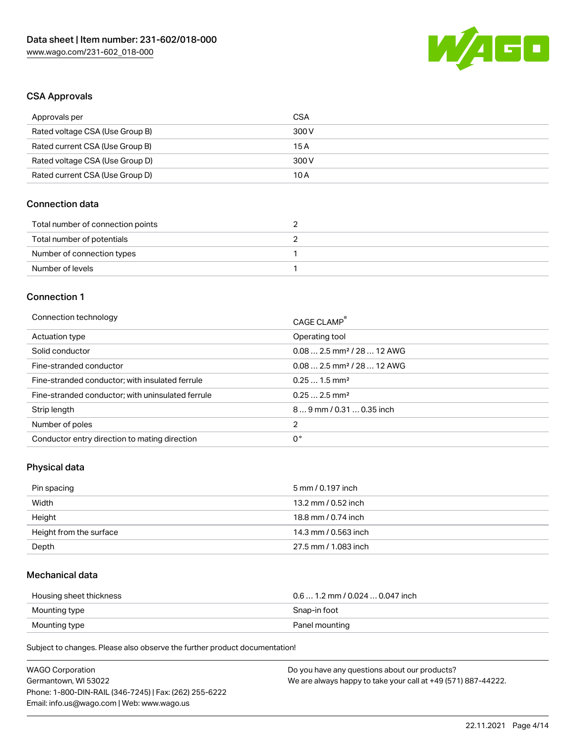

## CSA Approvals

| Approvals per                   | CSA   |
|---------------------------------|-------|
| Rated voltage CSA (Use Group B) | 300 V |
| Rated current CSA (Use Group B) | 15 A  |
| Rated voltage CSA (Use Group D) | 300 V |
| Rated current CSA (Use Group D) | 10 A  |

### Connection data

| Total number of connection points |  |
|-----------------------------------|--|
| Total number of potentials        |  |
| Number of connection types        |  |
| Number of levels                  |  |

### Connection 1

| Connection technology                             | CAGE CLAMP®                            |
|---------------------------------------------------|----------------------------------------|
| Actuation type                                    | Operating tool                         |
| Solid conductor                                   | $0.082.5$ mm <sup>2</sup> / 28  12 AWG |
| Fine-stranded conductor                           | $0.082.5$ mm <sup>2</sup> / 28  12 AWG |
| Fine-stranded conductor; with insulated ferrule   | $0.251.5$ mm <sup>2</sup>              |
| Fine-stranded conductor; with uninsulated ferrule | $0.252.5$ mm <sup>2</sup>              |
| Strip length                                      | $89$ mm / 0.31  0.35 inch              |
| Number of poles                                   | 2                                      |
| Conductor entry direction to mating direction     | 0°                                     |

# Physical data

| Pin spacing             | 5 mm / 0.197 inch    |
|-------------------------|----------------------|
| Width                   | 13.2 mm / 0.52 inch  |
| Height                  | 18.8 mm / 0.74 inch  |
| Height from the surface | 14.3 mm / 0.563 inch |
| Depth                   | 27.5 mm / 1.083 inch |

# Mechanical data

| Housing sheet thickness | $0.6$ 1.2 mm / 0.024 $$ 0.047 inch |
|-------------------------|------------------------------------|
| Mounting type           | Snap-in foot                       |
| Mounting type           | Panel mounting                     |

Subject to changes. Please also observe the further product documentation!

| <b>WAGO Corporation</b>                                | Do you have any questions about our products?                 |
|--------------------------------------------------------|---------------------------------------------------------------|
| Germantown, WI 53022                                   | We are always happy to take your call at +49 (571) 887-44222. |
| Phone: 1-800-DIN-RAIL (346-7245)   Fax: (262) 255-6222 |                                                               |
| Email: info.us@wago.com   Web: www.wago.us             |                                                               |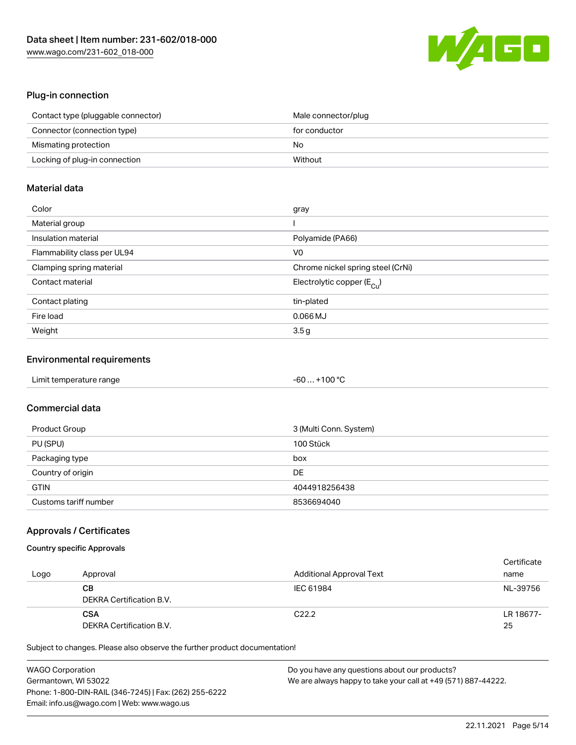

### Plug-in connection

| Contact type (pluggable connector) | Male connector/plug |
|------------------------------------|---------------------|
| Connector (connection type)        | for conductor       |
| Mismating protection               | No                  |
| Locking of plug-in connection      | Without             |

# Material data

| Color                       | gray                                    |
|-----------------------------|-----------------------------------------|
| Material group              |                                         |
| Insulation material         | Polyamide (PA66)                        |
| Flammability class per UL94 | V0                                      |
| Clamping spring material    | Chrome nickel spring steel (CrNi)       |
| Contact material            | Electrolytic copper ( $E_{\text{Cu}}$ ) |
| Contact plating             | tin-plated                              |
| Fire load                   | $0.066$ MJ                              |
| Weight                      | 3.5 <sub>g</sub>                        |

### Environmental requirements

| Limit temperature range | $-60+100 °C$ |  |
|-------------------------|--------------|--|
|-------------------------|--------------|--|

# Commercial data

| Product Group         | 3 (Multi Conn. System) |
|-----------------------|------------------------|
| PU (SPU)              | 100 Stück              |
| Packaging type        | box                    |
| Country of origin     | DE                     |
| <b>GTIN</b>           | 4044918256438          |
| Customs tariff number | 8536694040             |

### Approvals / Certificates

# Country specific Approvals

| Logo | Approval                               | <b>Additional Approval Text</b> | Certificate<br>name |
|------|----------------------------------------|---------------------------------|---------------------|
|      | CВ<br>DEKRA Certification B.V.         | IEC 61984                       | NL-39756            |
|      | <b>CSA</b><br>DEKRA Certification B.V. | C <sub>22.2</sub>               | LR 18677-<br>25     |

Subject to changes. Please also observe the further product documentation!

| <b>WAGO Corporation</b>                                | Do you have any questions about our products?                 |
|--------------------------------------------------------|---------------------------------------------------------------|
| Germantown, WI 53022                                   | We are always happy to take your call at +49 (571) 887-44222. |
| Phone: 1-800-DIN-RAIL (346-7245)   Fax: (262) 255-6222 |                                                               |
| Email: info.us@wago.com   Web: www.wago.us             |                                                               |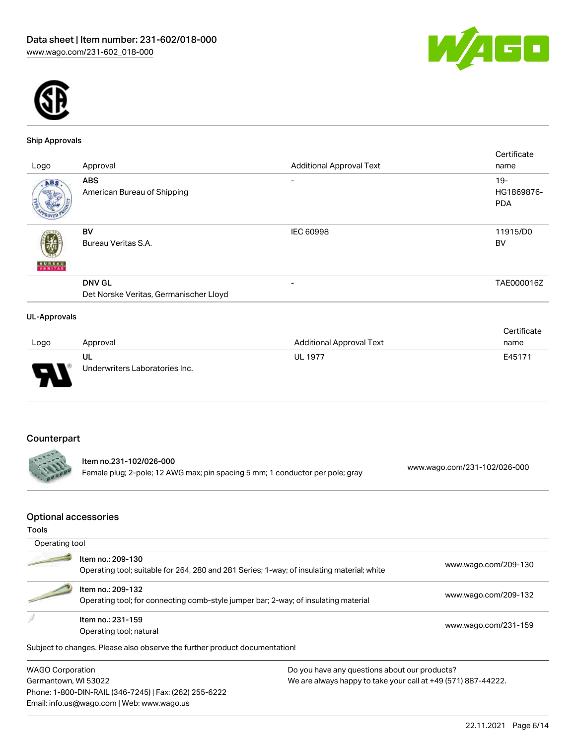



#### Ship Approvals

|                     |                                        |                                 | Certificate |
|---------------------|----------------------------------------|---------------------------------|-------------|
| Logo                | Approval                               | <b>Additional Approval Text</b> | name        |
| ABS.                | <b>ABS</b>                             | $\overline{\phantom{0}}$        | $19 -$      |
|                     | American Bureau of Shipping            |                                 | HG1869876-  |
|                     |                                        |                                 | <b>PDA</b>  |
|                     | BV                                     | <b>IEC 60998</b>                | 11915/D0    |
|                     | Bureau Veritas S.A.                    |                                 | BV          |
| <b>BUREAU</b>       |                                        |                                 |             |
|                     | <b>DNV GL</b>                          | $\overline{\phantom{0}}$        | TAE000016Z  |
|                     | Det Norske Veritas, Germanischer Lloyd |                                 |             |
| <b>UL-Approvals</b> |                                        |                                 |             |

#### Logo Approval Additional Approval Text **Certificate** name UL Underwriters Laboratories Inc. UL 1977 E45171

# Counterpart

Item no.231-102/026-000 Female plug; 2-pole; 12 AWG max; pin spacing 5 mm; 1 conductor per pole; gray [www.wago.com/231-102/026-000](https://www.wago.com/231-102/026-000)

### Optional accessories

Phone: 1-800-DIN-RAIL (346-7245) | Fax: (262) 255-6222

Email: info.us@wago.com | Web: www.wago.us

| Tools          |                                                                                                          |                                                                                            |                      |
|----------------|----------------------------------------------------------------------------------------------------------|--------------------------------------------------------------------------------------------|----------------------|
| Operating tool |                                                                                                          |                                                                                            |                      |
|                | Item no.: 209-130                                                                                        | Operating tool; suitable for 264, 280 and 281 Series; 1-way; of insulating material; white | www.wago.com/209-130 |
|                | Item no.: 209-132<br>Operating tool; for connecting comb-style jumper bar; 2-way; of insulating material |                                                                                            | www.wago.com/209-132 |
|                | Item no.: 231-159<br>Operating tool; natural                                                             |                                                                                            | www.wago.com/231-159 |
|                | Subject to changes. Please also observe the further product documentation!                               |                                                                                            |                      |
|                | <b>WAGO Corporation</b><br>Do you have any questions about our products?                                 |                                                                                            |                      |
|                | Germantown, WI 53022<br>We are always happy to take your call at +49 (571) 887-44222.                    |                                                                                            |                      |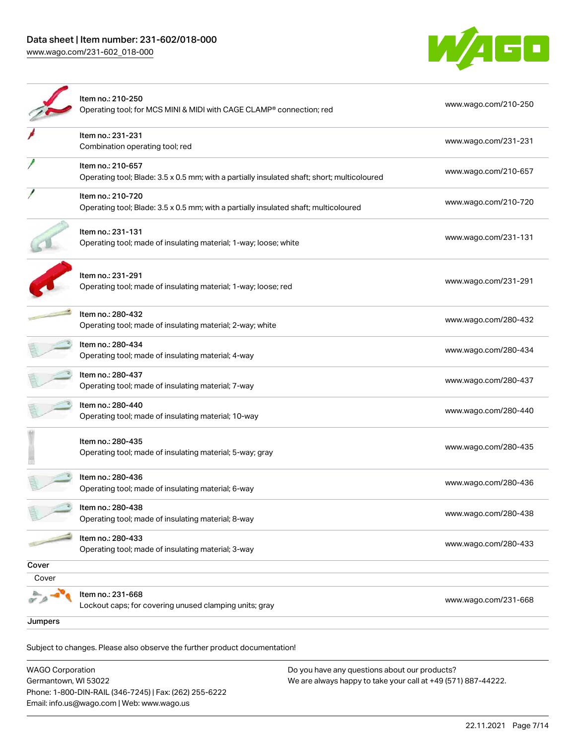[www.wago.com/231-602\\_018-000](http://www.wago.com/231-602_018-000)



|         | Item no.: 210-250<br>Operating tool; for MCS MINI & MIDI with CAGE CLAMP® connection; red                        | www.wago.com/210-250 |
|---------|------------------------------------------------------------------------------------------------------------------|----------------------|
|         | Item no.: 231-231<br>Combination operating tool; red                                                             | www.wago.com/231-231 |
|         | Item no.: 210-657<br>Operating tool; Blade: 3.5 x 0.5 mm; with a partially insulated shaft; short; multicoloured | www.wago.com/210-657 |
|         | Item no.: 210-720<br>Operating tool; Blade: 3.5 x 0.5 mm; with a partially insulated shaft; multicoloured        | www.wago.com/210-720 |
|         | Item no.: 231-131<br>Operating tool; made of insulating material; 1-way; loose; white                            | www.wago.com/231-131 |
|         | Item no.: 231-291<br>Operating tool; made of insulating material; 1-way; loose; red                              | www.wago.com/231-291 |
|         | Item no.: 280-432<br>Operating tool; made of insulating material; 2-way; white                                   | www.wago.com/280-432 |
|         | Item no.: 280-434<br>Operating tool; made of insulating material; 4-way                                          | www.wago.com/280-434 |
|         | Item no.: 280-437<br>Operating tool; made of insulating material; 7-way                                          | www.wago.com/280-437 |
|         | Item no.: 280-440<br>Operating tool; made of insulating material; 10-way                                         | www.wago.com/280-440 |
|         | Item no.: 280-435<br>Operating tool; made of insulating material; 5-way; gray                                    | www.wago.com/280-435 |
|         | Item no.: 280-436<br>Operating tool; made of insulating material; 6-way                                          | www.wago.com/280-436 |
|         | Item no.: 280-438<br>Operating tool; made of insulating material; 8-way                                          | www.wago.com/280-438 |
|         | Item no.: 280-433<br>Operating tool; made of insulating material; 3-way                                          | www.wago.com/280-433 |
| Cover   |                                                                                                                  |                      |
| Cover   |                                                                                                                  |                      |
|         | Item no.: 231-668<br>Lockout caps; for covering unused clamping units; gray                                      | www.wago.com/231-668 |
| Jumpers |                                                                                                                  |                      |

Subject to changes. Please also observe the further product documentation! Jumper

| <b>WAGO Corporation</b>                                | Do you have any questions about our products?                 |
|--------------------------------------------------------|---------------------------------------------------------------|
| Germantown, WI 53022                                   | We are always happy to take your call at +49 (571) 887-44222. |
| Phone: 1-800-DIN-RAIL (346-7245)   Fax: (262) 255-6222 |                                                               |
| Email: info.us@wago.com   Web: www.wago.us             |                                                               |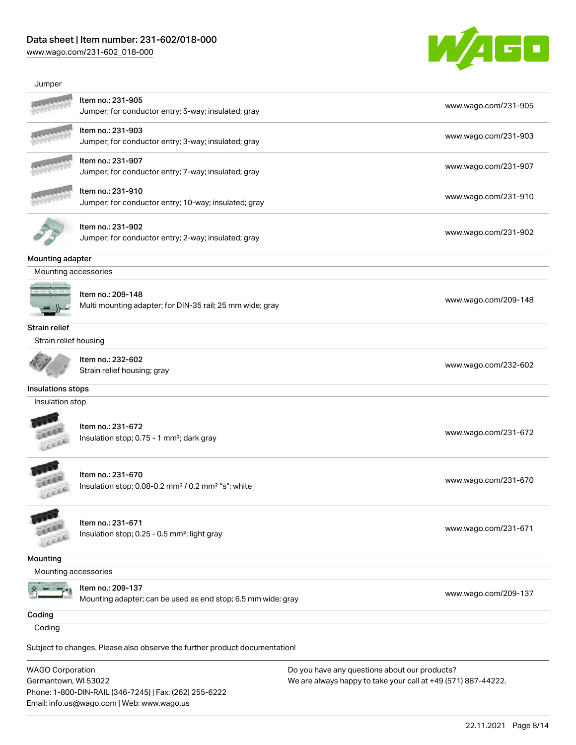[www.wago.com/231-602\\_018-000](http://www.wago.com/231-602_018-000)



| Jumper                                          |                                                                                                      |                                                                                                                |
|-------------------------------------------------|------------------------------------------------------------------------------------------------------|----------------------------------------------------------------------------------------------------------------|
|                                                 | Item no.: 231-905<br>Jumper; for conductor entry; 5-way; insulated; gray                             | www.wago.com/231-905                                                                                           |
|                                                 | Item no.: 231-903<br>Jumper; for conductor entry; 3-way; insulated; gray                             | www.wago.com/231-903                                                                                           |
|                                                 | Item no.: 231-907<br>Jumper; for conductor entry; 7-way; insulated; gray                             | www.wago.com/231-907                                                                                           |
|                                                 | Item no.: 231-910<br>Jumper; for conductor entry; 10-way; insulated; gray                            | www.wago.com/231-910                                                                                           |
|                                                 | Item no.: 231-902<br>Jumper; for conductor entry; 2-way; insulated; gray                             | www.wago.com/231-902                                                                                           |
| Mounting adapter                                |                                                                                                      |                                                                                                                |
| Mounting accessories                            |                                                                                                      |                                                                                                                |
|                                                 | Item no.: 209-148<br>Multi mounting adapter; for DIN-35 rail; 25 mm wide; gray                       | www.wago.com/209-148                                                                                           |
| <b>Strain relief</b>                            |                                                                                                      |                                                                                                                |
| Strain relief housing                           |                                                                                                      |                                                                                                                |
|                                                 | Item no.: 232-602<br>Strain relief housing; gray                                                     | www.wago.com/232-602                                                                                           |
| Insulations stops                               |                                                                                                      |                                                                                                                |
| Insulation stop                                 |                                                                                                      |                                                                                                                |
|                                                 | Item no.: 231-672<br>Insulation stop; 0.75 - 1 mm <sup>2</sup> ; dark gray                           | www.wago.com/231-672                                                                                           |
|                                                 | Item no.: 231-670<br>Insulation stop; 0.08-0.2 mm <sup>2</sup> / 0.2 mm <sup>2</sup> "s"; white      | www.wago.com/231-670                                                                                           |
|                                                 | Item no.: 231-671<br>Insulation stop; 0.25 - 0.5 mm <sup>2</sup> ; light gray                        | www.wago.com/231-671                                                                                           |
| <b>Mounting</b>                                 |                                                                                                      |                                                                                                                |
| Mounting accessories                            |                                                                                                      |                                                                                                                |
|                                                 | Item no.: 209-137<br>Mounting adapter; can be used as end stop; 6.5 mm wide; gray                    | www.wago.com/209-137                                                                                           |
| Coding                                          |                                                                                                      |                                                                                                                |
| Coding                                          |                                                                                                      |                                                                                                                |
|                                                 | Subject to changes. Please also observe the further product documentation!                           |                                                                                                                |
| <b>WAGO Corporation</b><br>Germantown, WI 53022 |                                                                                                      | Do you have any questions about our products?<br>We are always happy to take your call at +49 (571) 887-44222. |
|                                                 | Phone: 1-800-DIN-RAIL (346-7245)   Fax: (262) 255-6222<br>Email: info.us@wago.com   Web: www.wago.us |                                                                                                                |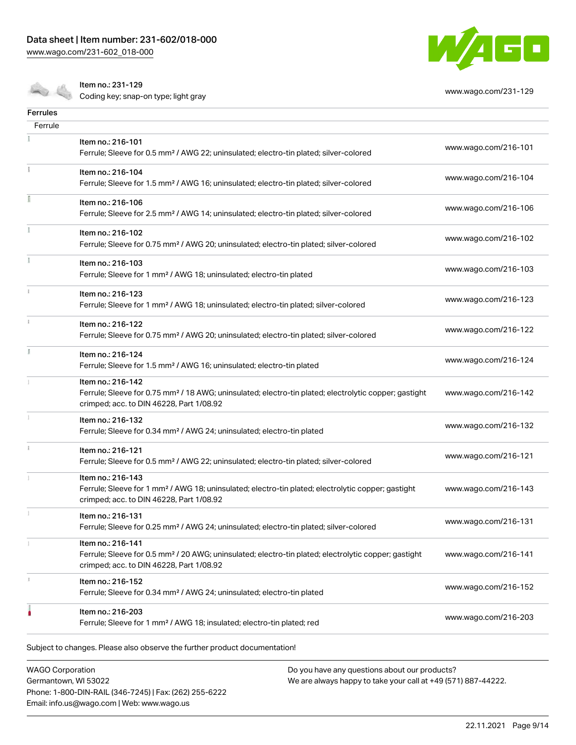[www.wago.com/231-602\\_018-000](http://www.wago.com/231-602_018-000)



Item no.: 231-129

Coding key; snap-on type; light gray [www.wago.com/231-129](http://www.wago.com/231-129)

| Item no.: 216-101<br>Ferrule; Sleeve for 0.5 mm <sup>2</sup> / AWG 22; uninsulated; electro-tin plated; silver-colored                                                             | www.wago.com/216-101 |
|------------------------------------------------------------------------------------------------------------------------------------------------------------------------------------|----------------------|
| Item no.: 216-104<br>Ferrule; Sleeve for 1.5 mm <sup>2</sup> / AWG 16; uninsulated; electro-tin plated; silver-colored                                                             | www.wago.com/216-104 |
| Item no.: 216-106<br>Ferrule; Sleeve for 2.5 mm <sup>2</sup> / AWG 14; uninsulated; electro-tin plated; silver-colored                                                             | www.wago.com/216-106 |
| Item no.: 216-102<br>Ferrule; Sleeve for 0.75 mm <sup>2</sup> / AWG 20; uninsulated; electro-tin plated; silver-colored                                                            | www.wago.com/216-102 |
| Item no.: 216-103<br>Ferrule; Sleeve for 1 mm <sup>2</sup> / AWG 18; uninsulated; electro-tin plated                                                                               | www.wago.com/216-103 |
| Item no.: 216-123<br>Ferrule; Sleeve for 1 mm <sup>2</sup> / AWG 18; uninsulated; electro-tin plated; silver-colored                                                               | www.wago.com/216-123 |
| Item no.: 216-122<br>Ferrule; Sleeve for 0.75 mm <sup>2</sup> / AWG 20; uninsulated; electro-tin plated; silver-colored                                                            | www.wago.com/216-122 |
| Item no.: 216-124<br>Ferrule; Sleeve for 1.5 mm <sup>2</sup> / AWG 16; uninsulated; electro-tin plated                                                                             | www.wago.com/216-124 |
| Item no.: 216-142<br>Ferrule; Sleeve for 0.75 mm <sup>2</sup> / 18 AWG; uninsulated; electro-tin plated; electrolytic copper; gastight<br>crimped; acc. to DIN 46228, Part 1/08.92 | www.wago.com/216-142 |
| Item no.: 216-132<br>Ferrule; Sleeve for 0.34 mm <sup>2</sup> / AWG 24; uninsulated; electro-tin plated                                                                            | www.wago.com/216-132 |
| Item no.: 216-121<br>Ferrule; Sleeve for 0.5 mm <sup>2</sup> / AWG 22; uninsulated; electro-tin plated; silver-colored                                                             | www.wago.com/216-121 |
| Item no.: 216-143<br>Ferrule; Sleeve for 1 mm <sup>2</sup> / AWG 18; uninsulated; electro-tin plated; electrolytic copper; gastight<br>crimped; acc. to DIN 46228, Part 1/08.92    | www.wago.com/216-143 |
| Item no.: 216-131<br>Ferrule; Sleeve for 0.25 mm <sup>2</sup> / AWG 24; uninsulated; electro-tin plated; silver-colored                                                            | www.wago.com/216-131 |
| Item no.: 216-141<br>Ferrule; Sleeve for 0.5 mm <sup>2</sup> / 20 AWG; uninsulated; electro-tin plated; electrolytic copper; gastight<br>crimped; acc. to DIN 46228, Part 1/08.92  | www.wago.com/216-141 |
| Item no.: 216-152<br>Ferrule; Sleeve for 0.34 mm <sup>2</sup> / AWG 24; uninsulated; electro-tin plated                                                                            | www.wago.com/216-152 |
| Item no.: 216-203<br>Ferrule; Sleeve for 1 mm <sup>2</sup> / AWG 18; insulated; electro-tin plated; red                                                                            | www.wago.com/216-203 |
|                                                                                                                                                                                    |                      |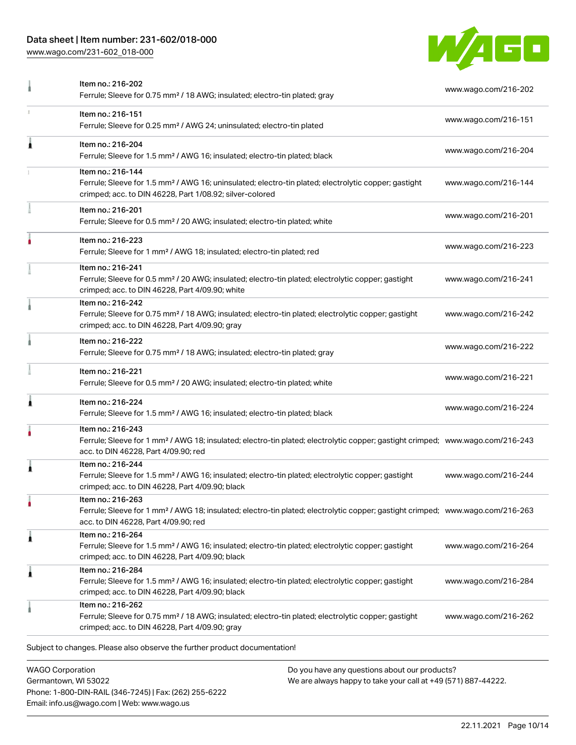[www.wago.com/231-602\\_018-000](http://www.wago.com/231-602_018-000)



|   | Item no.: 216-202<br>Ferrule; Sleeve for 0.75 mm <sup>2</sup> / 18 AWG; insulated; electro-tin plated; gray                                                                                             | www.wago.com/216-202 |
|---|---------------------------------------------------------------------------------------------------------------------------------------------------------------------------------------------------------|----------------------|
| ı | Item no.: 216-151<br>Ferrule; Sleeve for 0.25 mm <sup>2</sup> / AWG 24; uninsulated; electro-tin plated                                                                                                 | www.wago.com/216-151 |
| 1 | Item no.: 216-204<br>Ferrule; Sleeve for 1.5 mm <sup>2</sup> / AWG 16; insulated; electro-tin plated; black                                                                                             | www.wago.com/216-204 |
|   | Item no.: 216-144<br>Ferrule; Sleeve for 1.5 mm <sup>2</sup> / AWG 16; uninsulated; electro-tin plated; electrolytic copper; gastight<br>crimped; acc. to DIN 46228, Part 1/08.92; silver-colored       | www.wago.com/216-144 |
|   | Item no.: 216-201<br>Ferrule; Sleeve for 0.5 mm <sup>2</sup> / 20 AWG; insulated; electro-tin plated; white                                                                                             | www.wago.com/216-201 |
| ۸ | Item no.: 216-223<br>Ferrule; Sleeve for 1 mm <sup>2</sup> / AWG 18; insulated; electro-tin plated; red                                                                                                 | www.wago.com/216-223 |
|   | Item no.: 216-241<br>Ferrule; Sleeve for 0.5 mm <sup>2</sup> / 20 AWG; insulated; electro-tin plated; electrolytic copper; gastight<br>crimped; acc. to DIN 46228, Part 4/09.90; white                  | www.wago.com/216-241 |
|   | Item no.: 216-242<br>Ferrule; Sleeve for 0.75 mm <sup>2</sup> / 18 AWG; insulated; electro-tin plated; electrolytic copper; gastight<br>crimped; acc. to DIN 46228, Part 4/09.90; gray                  | www.wago.com/216-242 |
|   | Item no.: 216-222<br>Ferrule; Sleeve for 0.75 mm <sup>2</sup> / 18 AWG; insulated; electro-tin plated; gray                                                                                             | www.wago.com/216-222 |
|   | Item no.: 216-221<br>Ferrule; Sleeve for 0.5 mm <sup>2</sup> / 20 AWG; insulated; electro-tin plated; white                                                                                             | www.wago.com/216-221 |
| 1 | Item no.: 216-224<br>Ferrule; Sleeve for 1.5 mm <sup>2</sup> / AWG 16; insulated; electro-tin plated; black                                                                                             | www.wago.com/216-224 |
|   | Item no.: 216-243<br>Ferrule; Sleeve for 1 mm <sup>2</sup> / AWG 18; insulated; electro-tin plated; electrolytic copper; gastight crimped; www.wago.com/216-243<br>acc. to DIN 46228, Part 4/09.90; red |                      |
| Ă | Item no.: 216-244<br>Ferrule; Sleeve for 1.5 mm <sup>2</sup> / AWG 16; insulated; electro-tin plated; electrolytic copper; gastight<br>crimped; acc. to DIN 46228, Part 4/09.90; black                  | www.wago.com/216-244 |
|   | ltem no.: 216-263<br>Ferrule; Sleeve for 1 mm <sup>2</sup> / AWG 18; insulated; electro-tin plated; electrolytic copper; gastight crimped; www.wago.com/216-263<br>acc. to DIN 46228, Part 4/09.90; red |                      |
| 1 | Item no.: 216-264<br>Ferrule; Sleeve for 1.5 mm <sup>2</sup> / AWG 16; insulated; electro-tin plated; electrolytic copper; gastight<br>crimped; acc. to DIN 46228, Part 4/09.90; black                  | www.wago.com/216-264 |
| 1 | Item no.: 216-284<br>Ferrule; Sleeve for 1.5 mm <sup>2</sup> / AWG 16; insulated; electro-tin plated; electrolytic copper; gastight<br>crimped; acc. to DIN 46228, Part 4/09.90; black                  | www.wago.com/216-284 |
|   | Item no.: 216-262<br>Ferrule; Sleeve for 0.75 mm <sup>2</sup> / 18 AWG; insulated; electro-tin plated; electrolytic copper; gastight<br>crimped; acc. to DIN 46228, Part 4/09.90; gray                  | www.wago.com/216-262 |
|   | Subject to changes. Please also observe the further product documentation!                                                                                                                              |                      |

WAGO Corporation Germantown, WI 53022 Phone: 1-800-DIN-RAIL (346-7245) | Fax: (262) 255-6222 Email: info.us@wago.com | Web: www.wago.us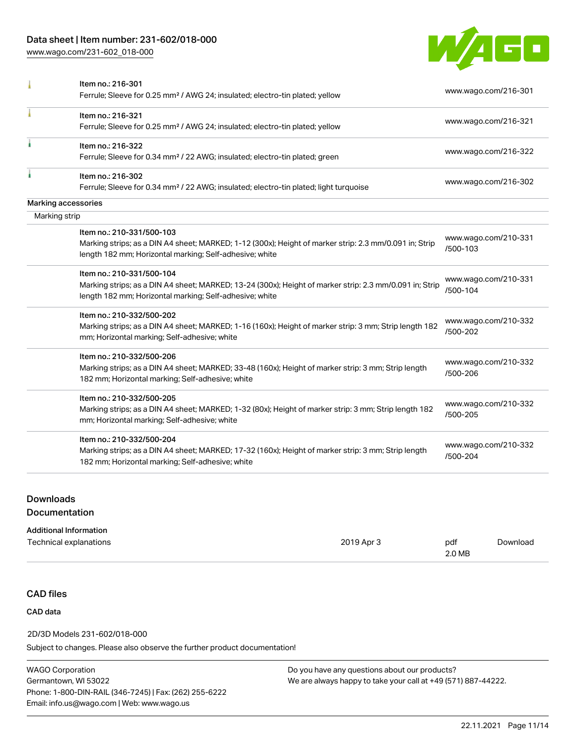[www.wago.com/231-602\\_018-000](http://www.wago.com/231-602_018-000)



|               | Item no.: 216-301                                                                                       |                                  |  |
|---------------|---------------------------------------------------------------------------------------------------------|----------------------------------|--|
|               | Ferrule; Sleeve for 0.25 mm <sup>2</sup> / AWG 24; insulated; electro-tin plated; yellow                | www.wago.com/216-301             |  |
|               | Item no.: 216-321                                                                                       | www.wago.com/216-321             |  |
|               | Ferrule; Sleeve for 0.25 mm <sup>2</sup> / AWG 24; insulated; electro-tin plated; yellow                |                                  |  |
| I             | Item no.: 216-322                                                                                       | www.wago.com/216-322             |  |
|               | Ferrule; Sleeve for 0.34 mm <sup>2</sup> / 22 AWG; insulated; electro-tin plated; green                 |                                  |  |
|               | Item no.: 216-302                                                                                       | www.wago.com/216-302             |  |
|               | Ferrule; Sleeve for 0.34 mm <sup>2</sup> / 22 AWG; insulated; electro-tin plated; light turquoise       |                                  |  |
|               | Marking accessories                                                                                     |                                  |  |
| Marking strip |                                                                                                         |                                  |  |
|               | Item no.: 210-331/500-103                                                                               | www.wago.com/210-331             |  |
|               | Marking strips; as a DIN A4 sheet; MARKED; 1-12 (300x); Height of marker strip: 2.3 mm/0.091 in; Strip  | /500-103                         |  |
|               | length 182 mm; Horizontal marking; Self-adhesive; white                                                 |                                  |  |
|               | Item no.: 210-331/500-104                                                                               |                                  |  |
|               | Marking strips; as a DIN A4 sheet; MARKED; 13-24 (300x); Height of marker strip: 2.3 mm/0.091 in; Strip | www.wago.com/210-331<br>/500-104 |  |
|               | length 182 mm; Horizontal marking; Self-adhesive; white                                                 |                                  |  |
|               | Item no.: 210-332/500-202                                                                               |                                  |  |
|               | Marking strips; as a DIN A4 sheet; MARKED; 1-16 (160x); Height of marker strip: 3 mm; Strip length 182  | www.wago.com/210-332<br>/500-202 |  |
|               | mm; Horizontal marking; Self-adhesive; white                                                            |                                  |  |
|               | Item no.: 210-332/500-206                                                                               |                                  |  |
|               | Marking strips; as a DIN A4 sheet; MARKED; 33-48 (160x); Height of marker strip: 3 mm; Strip length     | www.wago.com/210-332<br>/500-206 |  |
|               | 182 mm; Horizontal marking; Self-adhesive; white                                                        |                                  |  |
|               | Item no.: 210-332/500-205                                                                               |                                  |  |
|               | Marking strips; as a DIN A4 sheet; MARKED; 1-32 (80x); Height of marker strip: 3 mm; Strip length 182   | www.wago.com/210-332             |  |
|               | mm; Horizontal marking; Self-adhesive; white                                                            | /500-205                         |  |
|               | Item no.: 210-332/500-204                                                                               |                                  |  |
|               | Marking strips; as a DIN A4 sheet; MARKED; 17-32 (160x); Height of marker strip: 3 mm; Strip length     | www.wago.com/210-332<br>/500-204 |  |
|               | 182 mm; Horizontal marking; Self-adhesive; white                                                        |                                  |  |
|               |                                                                                                         |                                  |  |

# Downloads Documentation

| <b>Additional Information</b> |            |        |          |
|-------------------------------|------------|--------|----------|
| Technical explanations        | 2019 Apr 3 | pdf    | Download |
|                               |            | 2.0 MB |          |

# CAD files

# CAD data

# 2D/3D Models 231-602/018-000

Subject to changes. Please also observe the further product documentation!

WAGO Corporation Germantown, WI 53022 Phone: 1-800-DIN-RAIL (346-7245) | Fax: (262) 255-6222 Email: info.us@wago.com | Web: www.wago.us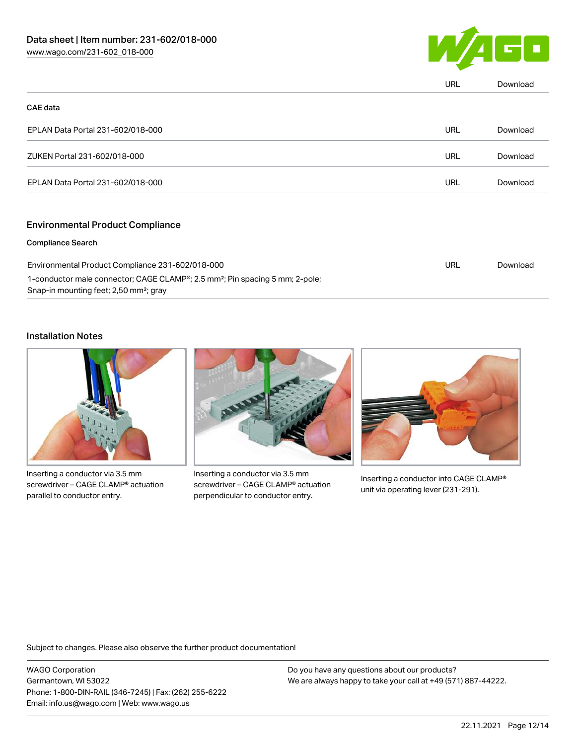

|                                   | URL | Download |
|-----------------------------------|-----|----------|
| <b>CAE</b> data                   |     |          |
| EPLAN Data Portal 231-602/018-000 | URL | Download |
| ZUKEN Portal 231-602/018-000      | URL | Download |
| EPLAN Data Portal 231-602/018-000 | URL | Download |
|                                   |     |          |

### Environmental Product Compliance

### Compliance Search

| Environmental Product Compliance 231-602/018-000                                         | URL | Download |
|------------------------------------------------------------------------------------------|-----|----------|
| 1-conductor male connector; CAGE CLAMP®; 2.5 mm <sup>2</sup> ; Pin spacing 5 mm; 2-pole; |     |          |
| Snap-in mounting feet; 2,50 mm²; gray                                                    |     |          |

# Installation Notes



Inserting a conductor via 3.5 mm screwdriver – CAGE CLAMP® actuation parallel to conductor entry.



Inserting a conductor via 3.5 mm screwdriver – CAGE CLAMP® actuation perpendicular to conductor entry.



Inserting a conductor into CAGE CLAMP® unit via operating lever (231-291).

Subject to changes. Please also observe the further product documentation!

WAGO Corporation Germantown, WI 53022 Phone: 1-800-DIN-RAIL (346-7245) | Fax: (262) 255-6222 Email: info.us@wago.com | Web: www.wago.us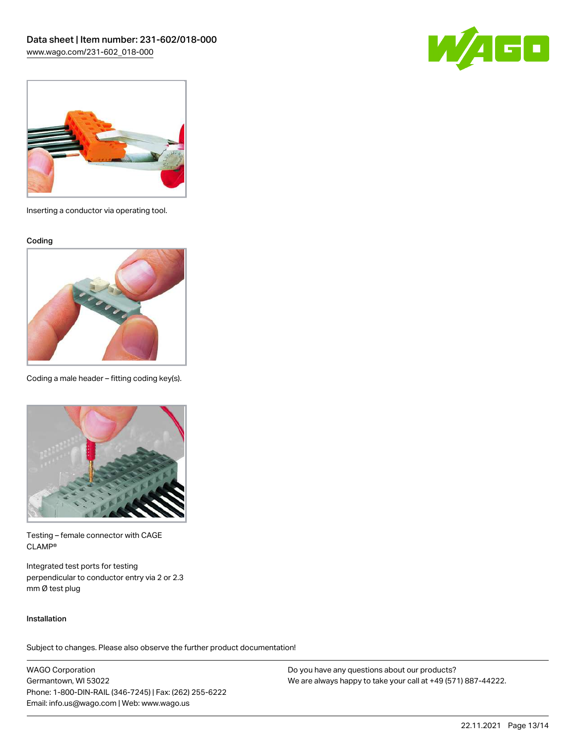



Inserting a conductor via operating tool.

Coding



Coding a male header – fitting coding key(s).



Testing – female connector with CAGE CLAMP®

Integrated test ports for testing perpendicular to conductor entry via 2 or 2.3 mm Ø test plug

### Installation

Subject to changes. Please also observe the further product documentation!

WAGO Corporation Germantown, WI 53022 Phone: 1-800-DIN-RAIL (346-7245) | Fax: (262) 255-6222 Email: info.us@wago.com | Web: www.wago.us